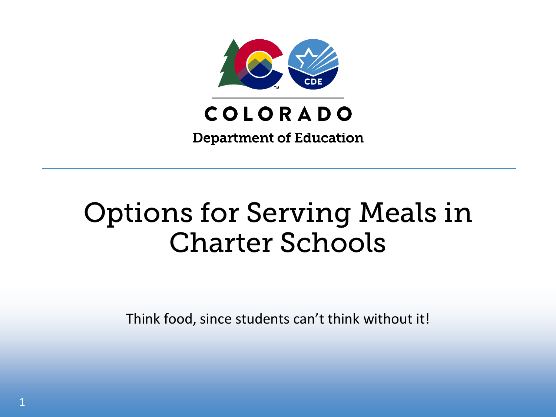

**Department of Education** 

# Options for Serving Meals in Charter Schools

Think food, since students can't think without it!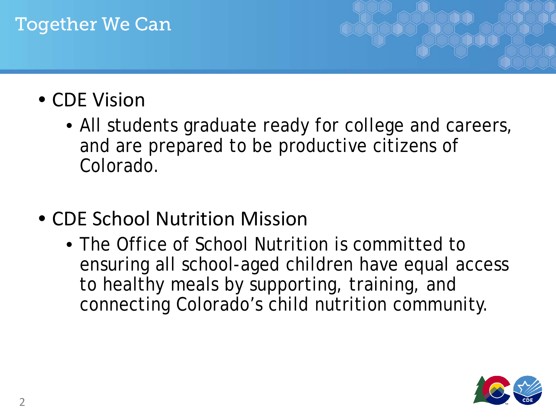#### Together We Can

## • CDE Vision

- All students graduate ready for college and careers, and are prepared to be productive citizens of Colorado.
- CDE School Nutrition Mission
	- The Office of School Nutrition is committed to ensuring all school-aged children have equal access to healthy meals by supporting, training, and connecting Colorado's child nutrition community.

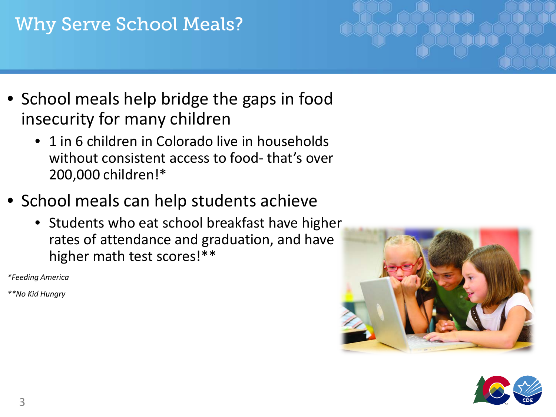#### Why Serve School Meals?

- School meals help bridge the gaps in food insecurity for many children
	- 1 in 6 children in Colorado live in households without consistent access to food- that's over 200,000 children!\*
- School meals can help students achieve
	- Students who eat school breakfast have higher rates of attendance and graduation, and have higher math test scores!\*\*

*\*Feeding America*

*\*\*No Kid Hungry*



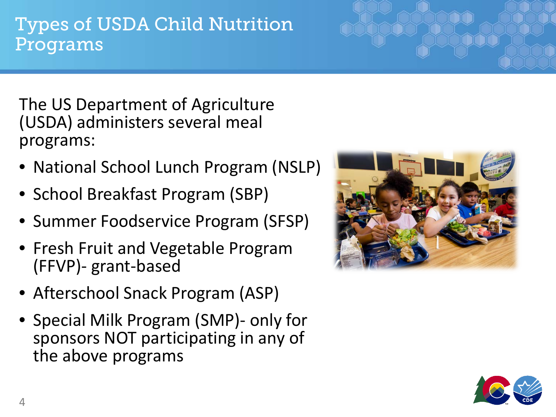#### 4

Types of USDA Child Nutrition Programs

The US Department of Agriculture (USDA) administers several meal programs:

- National School Lunch Program (NSLP)
- School Breakfast Program (SBP)
- Summer Foodservice Program (SFSP)
- Fresh Fruit and Vegetable Program (FFVP)- grant-based
- Afterschool Snack Program (ASP)
- Special Milk Program (SMP)- only for sponsors NOT participating in any of the above programs



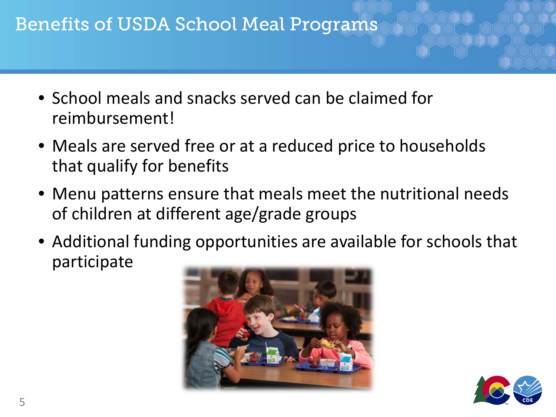#### Benefits of USDA School Meal Programs

- School meals and snacks served can be claimed for reimbursement!
- Meals are served free or at a reduced price to households that qualify for benefits
- Menu patterns ensure that meals meet the nutritional needs of children at different age/grade groups
- Additional funding opportunities are available for schools that participate



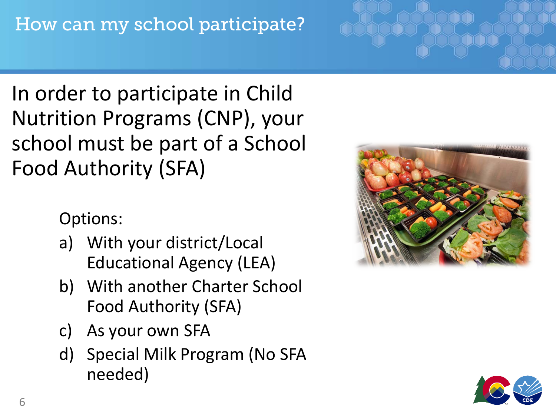# In order to participate in Child Nutrition Programs (CNP), your school must be part of a School Food Authority (SFA)

Options:

- a) With your district/Local Educational Agency (LEA)
- b) With another Charter School Food Authority (SFA)
- c) As your own SFA
- d) Special Milk Program (No SFA needed)



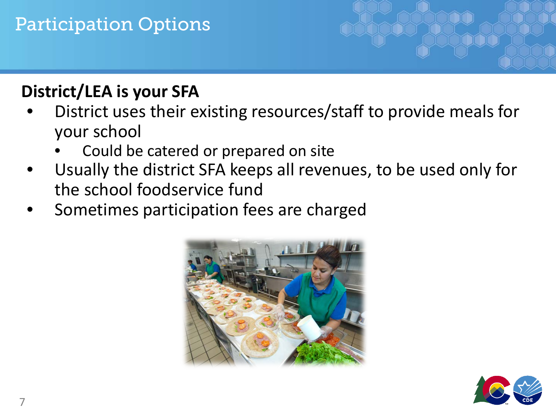### Participation Options

#### **District/LEA is your SFA**

- District uses their existing resources/staff to provide meals for your school
	- Could be catered or prepared on site
- Usually the district SFA keeps all revenues, to be used only for the school foodservice fund
- Sometimes participation fees are charged



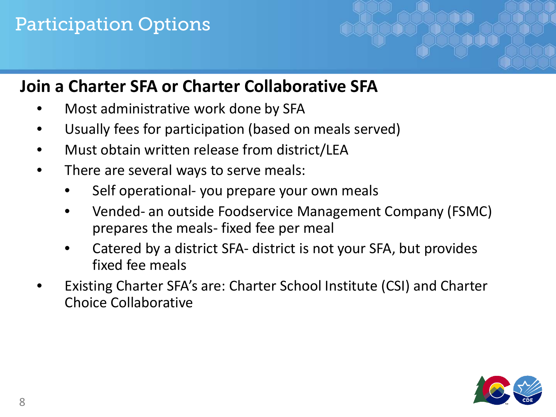#### Participation Options

#### **Join a Charter SFA or Charter Collaborative SFA**

- Most administrative work done by SFA
- Usually fees for participation (based on meals served)
- Must obtain written release from district/LEA
- There are several ways to serve meals:
	- Self operational- you prepare your own meals
	- Vended- an outside Foodservice Management Company (FSMC) prepares the meals- fixed fee per meal
	- Catered by a district SFA- district is not your SFA, but provides fixed fee meals
- Existing Charter SFA's are: Charter School Institute (CSI) and Charter Choice Collaborative

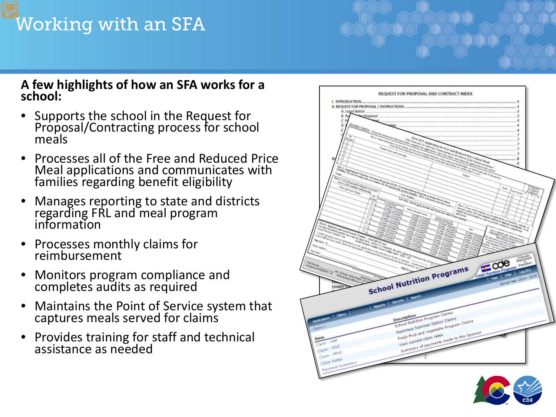#### Working with an SFA

#### **A few highlights of how an SFA works for a school:**

- Supports the school in the Request for Proposal/Contracting process for school meals
- Processes all of the Free and Reduced Price Meal applications and communicates with families regarding benefit eligibility
- Manages reporting to state and districts regarding FRL and meal program information
- Processes monthly claims for reimbursement
- Monitors program compliance and completes audits as required
- Maintains the Point of Service system that captures meals served for claims
- Provides training for staff and technical assistance as needed

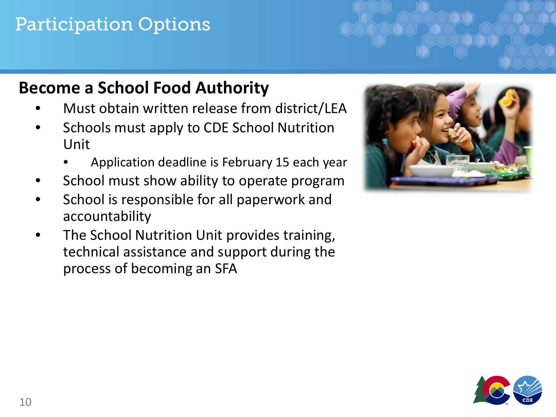### Participation Options

#### **Become a School Food Authority**

- Must obtain written release from district/LEA
- Schools must apply to CDE School Nutrition Unit
	- Application deadline is February 15 each year
- School must show ability to operate program
- School is responsible for all paperwork and accountability
- The School Nutrition Unit provides training, technical assistance and support during the process of becoming an SFA



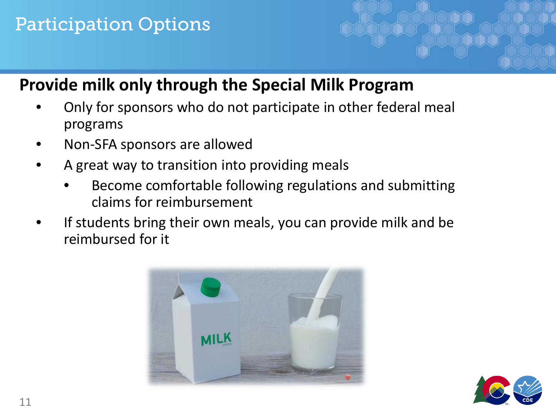#### Participation Options

#### **Provide milk only through the Special Milk Program**

- Only for sponsors who do not participate in other federal meal programs
- Non-SFA sponsors are allowed
- A great way to transition into providing meals
	- Become comfortable following regulations and submitting claims for reimbursement
- If students bring their own meals, you can provide milk and be reimbursed for it



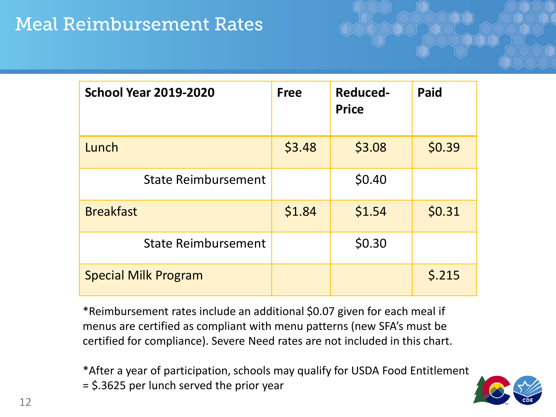#### Meal Reimbursement Rates

| <b>School Year 2019-2020</b> | <b>Free</b> | <b>Reduced-</b><br><b>Price</b> | <b>Paid</b> |
|------------------------------|-------------|---------------------------------|-------------|
| Lunch                        | \$3.48      | \$3.08                          | \$0.39      |
| <b>State Reimbursement</b>   |             | \$0.40                          |             |
| <b>Breakfast</b>             | \$1.84      | \$1.54                          | \$0.31      |
| <b>State Reimbursement</b>   |             | \$0.30                          |             |
| <b>Special Milk Program</b>  |             |                                 | \$.215      |

\*Reimbursement rates include an additional \$0.07 given for each meal if menus are certified as compliant with menu patterns (new SFA's must be certified for compliance). Severe Need rates are not included in this chart.

\*After a year of participation, schools may qualify for USDA Food Entitlement = \$.3625 per lunch served the prior year

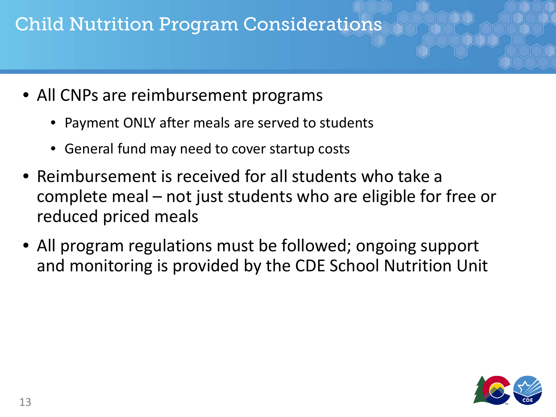### Child Nutrition Program Considerations

- All CNPs are reimbursement programs
	- Payment ONLY after meals are served to students
	- General fund may need to cover startup costs
- Reimbursement is received for all students who take a complete meal – not just students who are eligible for free or reduced priced meals
- All program regulations must be followed; ongoing support and monitoring is provided by the CDE School Nutrition Unit

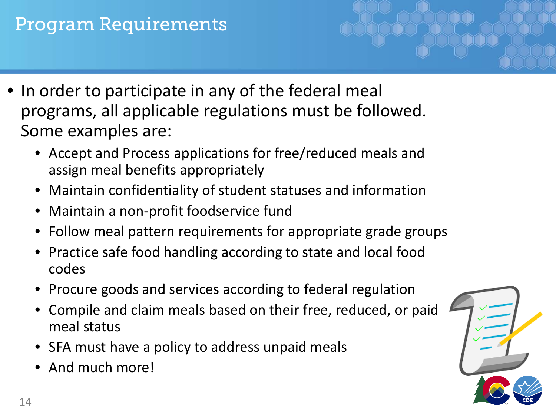#### Program Requirements

- In order to participate in any of the federal meal programs, all applicable regulations must be followed. Some examples are:
	- Accept and Process applications for free/reduced meals and assign meal benefits appropriately
	- Maintain confidentiality of student statuses and information
	- Maintain a non-profit foodservice fund
	- Follow meal pattern requirements for appropriate grade groups
	- Practice safe food handling according to state and local food codes
	- Procure goods and services according to federal regulation
	- Compile and claim meals based on their free, reduced, or paid meal status
	- SFA must have a policy to address unpaid meals
	- And much more!

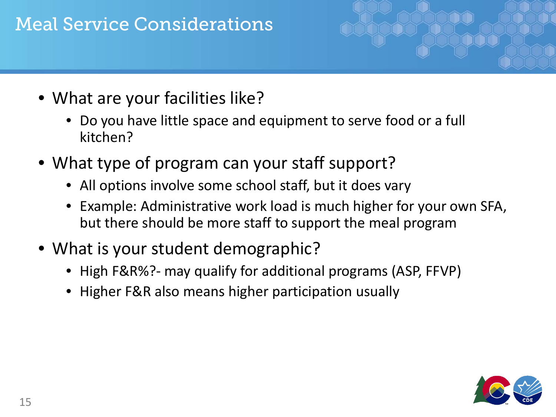#### Meal Service Considerations



- Do you have little space and equipment to serve food or a full kitchen?
- What type of program can your staff support?
	- All options involve some school staff, but it does vary
	- Example: Administrative work load is much higher for your own SFA, but there should be more staff to support the meal program
- What is your student demographic?
	- High F&R%?- may qualify for additional programs (ASP, FFVP)
	- Higher F&R also means higher participation usually

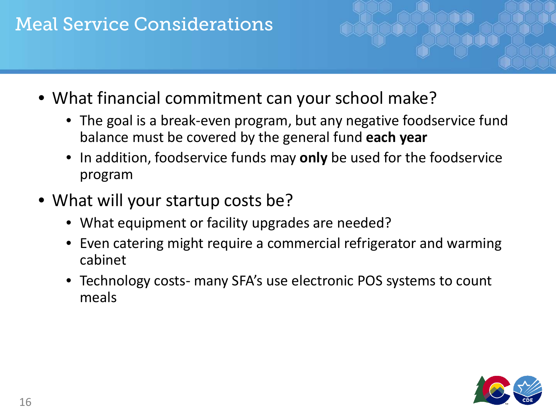#### Meal Service Considerations

- What financial commitment can your school make?
	- The goal is a break-even program, but any negative foodservice fund balance must be covered by the general fund **each year**
	- In addition, foodservice funds may **only** be used for the foodservice program
- What will your startup costs be?
	- What equipment or facility upgrades are needed?
	- Even catering might require a commercial refrigerator and warming cabinet
	- Technology costs- many SFA's use electronic POS systems to count meals

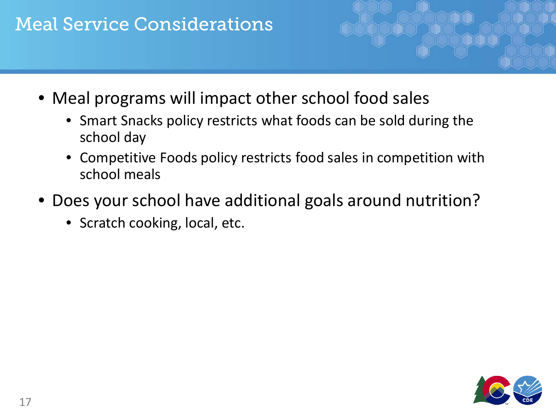#### Meal Service Considerations

- Meal programs will impact other school food sales
	- Smart Snacks policy restricts what foods can be sold during the school day
	- Competitive Foods policy restricts food sales in competition with school meals
- Does your school have additional goals around nutrition?
	- Scratch cooking, local, etc.

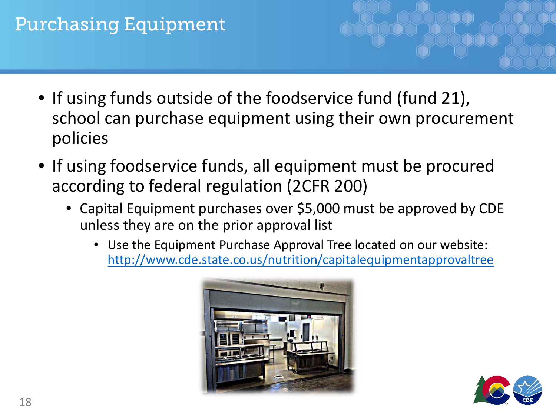#### Purchasing Equipment

- If using funds outside of the foodservice fund (fund 21), school can purchase equipment using their own procurement policies
- If using foodservice funds, all equipment must be procured according to federal regulation (2CFR 200)
	- Capital Equipment purchases over \$5,000 must be approved by CDE unless they are on the prior approval list
		- Use the Equipment Purchase Approval Tree located on our website: <http://www.cde.state.co.us/nutrition/capitalequipmentapprovaltree>



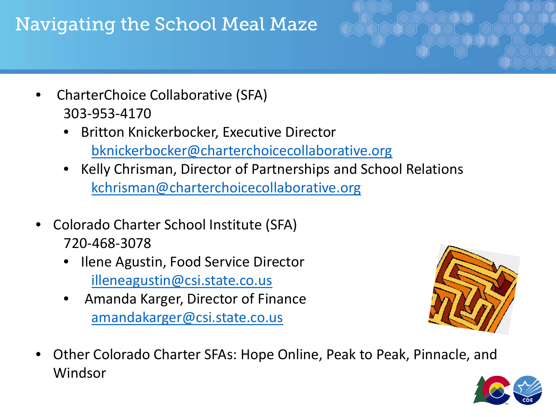## Navigating the School Meal Maze



- CharterChoice Collaborative (SFA) 303-953-4170
	- Britton Knickerbocker, Executive Director [bknickerbocker@charterchoicecollaborative.org](mailto:bknickerbocker@charterchoicecollaborative.org)
	- Kelly Chrisman, Director of Partnerships and School Relations [kchrisman@charterchoicecollaborative.org](mailto:kchrisman@charterchoicecollaborative.org)
- Colorado Charter School Institute (SFA) 720-468-3078
	- Ilene Agustin, Food Service Director [illeneagustin@csi.state.co.us](mailto:illeneagustin@csi.state.co.us)
	- Amanda Karger, Director of Finance [amandakarger@csi.state.co.us](mailto:amandakarger@csi.state.co.us)



• Other Colorado Charter SFAs: Hope Online, Peak to Peak, Pinnacle, and Windsor

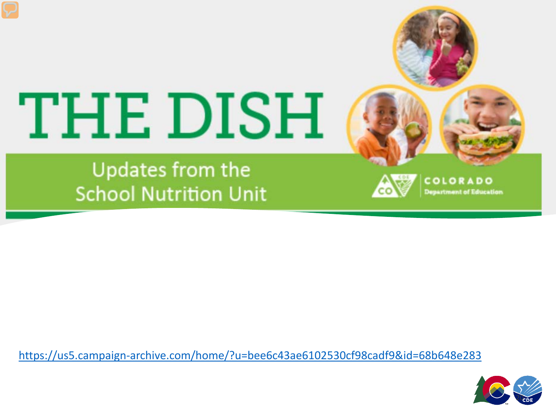# THE DISH

Updates from the **School Nutrition Unit** 



COLORADO **Department of Education** 

<https://us5.campaign-archive.com/home/?u=bee6c43ae6102530cf98cadf9&id=68b648e283>